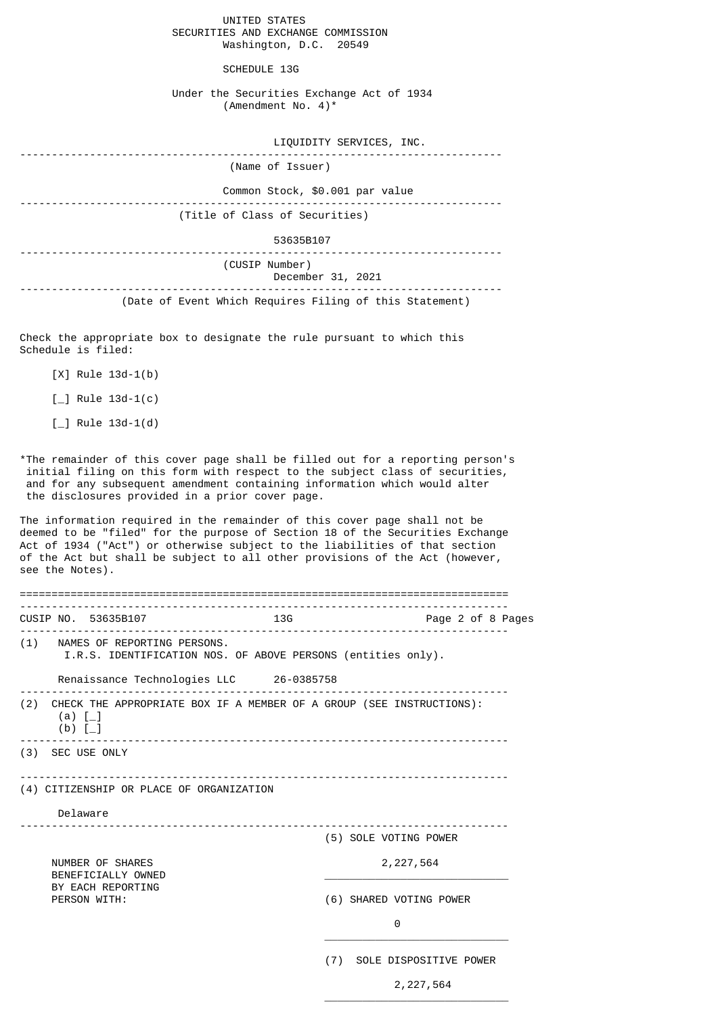UNITED STATES SECURITIES AND EXCHANGE COMMISSION Washington, D.C. 20549

SCHEDULE 13G

Under the Securities Exchange Act of 1934 (Amendment No. 4)\*

| LIQUIDITY SERVICES, INC.                                |
|---------------------------------------------------------|
| (Name of Issuer)                                        |
| Common Stock, \$0.001 par value                         |
| (Title of Class of Securities)                          |
| 53635B107                                               |
| (CUSIP Number)<br>December 31, 2021                     |
| (Date of Event Which Requires Filing of this Statement) |

Check the appropriate box to designate the rule pursuant to which this Schedule is filed:

[X] Rule 13d-1(b)

 $\lceil \_$  Rule 13d-1(c)

 $[-]$  Rule 13d-1(d)

\*The remainder of this cover page shall be filled out for a reporting person's initial filing on this form with respect to the subject class of securities, and for any subsequent amendment containing information which would alter the disclosures provided in a prior cover page.

The information required in the remainder of this cover page shall not be deemed to be "filed" for the purpose of Section 18 of the Securities Exchange Act of 1934 ("Act") or otherwise subject to the liabilities of that section of the Act but shall be subject to all other provisions of the Act (however, see the Notes).

|                             | CUSIP NO. 53635B107                      | <b>13G</b> | Page 2 of 8 Pages                                                        |  |
|-----------------------------|------------------------------------------|------------|--------------------------------------------------------------------------|--|
|                             | (1) NAMES OF REPORTING PERSONS.          |            | I.R.S. IDENTIFICATION NOS. OF ABOVE PERSONS (entities only).             |  |
|                             | Renaissance Technologies LLC 26-0385758  |            |                                                                          |  |
| $(a)$ $\lceil$<br>(b) $[-]$ |                                          |            | (2) CHECK THE APPROPRIATE BOX IF A MEMBER OF A GROUP (SEE INSTRUCTIONS): |  |
|                             | (3) SEC USE ONLY                         |            |                                                                          |  |
|                             | (4) CITIZENSHIP OR PLACE OF ORGANIZATION |            |                                                                          |  |
|                             | Delaware                                 |            |                                                                          |  |
|                             |                                          |            | (5) SOLE VOTING POWER                                                    |  |
|                             | NUMBER OF SHARES<br>BENEFICIALLY OWNED   |            | 2, 227, 564                                                              |  |
|                             | BY EACH REPORTING<br>PERSON WITH:        |            | (6) SHARED VOTING POWER                                                  |  |
|                             |                                          |            | 0                                                                        |  |
|                             |                                          | (7)        | SOLE DISPOSITIVE POWER                                                   |  |

 $\overline{\phantom{a}}$  , and the state of the state of the state of the state of the state of the state of the state of the state of the state of the state of the state of the state of the state of the state of the state of the stat

2,227,564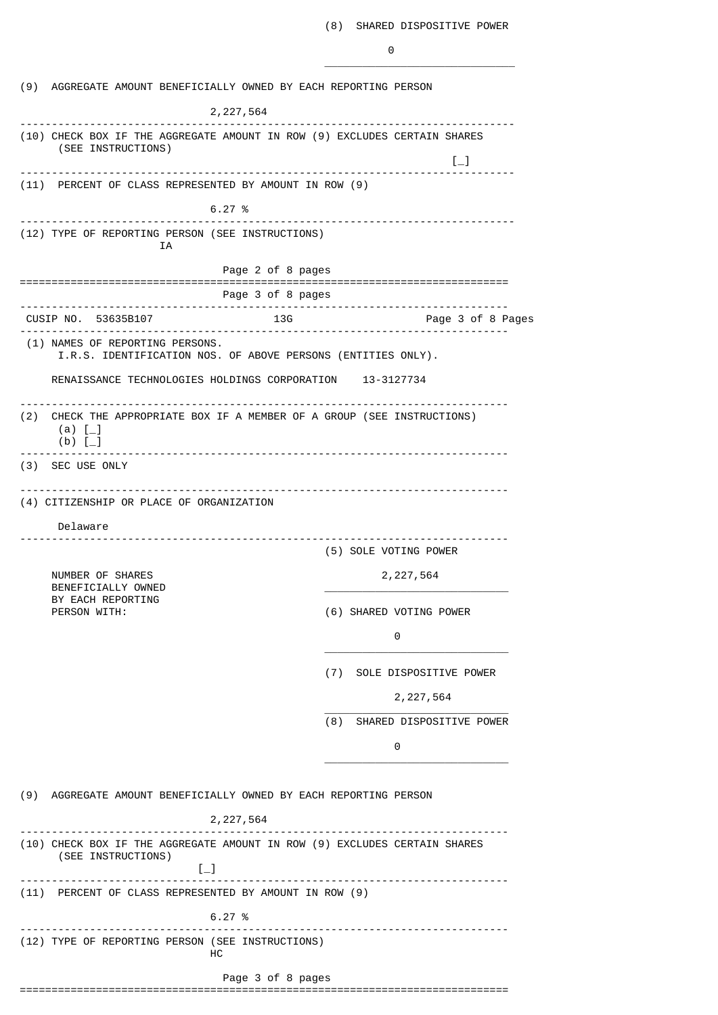|     | (9) AGGREGATE AMOUNT BENEFICIALLY OWNED BY EACH REPORTING PERSON                                             |                   |                                                         |
|-----|--------------------------------------------------------------------------------------------------------------|-------------------|---------------------------------------------------------|
|     | 2, 227, 564                                                                                                  |                   |                                                         |
|     | ---------<br>(10) CHECK BOX IF THE AGGREGATE AMOUNT IN ROW (9) EXCLUDES CERTAIN SHARES<br>(SEE INSTRUCTIONS) |                   | $\left[\begin{smallmatrix}1\\1\end{smallmatrix}\right]$ |
|     | (11) PERCENT OF CLASS REPRESENTED BY AMOUNT IN ROW (9)                                                       |                   |                                                         |
|     | 6.27%                                                                                                        |                   |                                                         |
|     | -----------------------------------<br>(12) TYPE OF REPORTING PERSON (SEE INSTRUCTIONS)                      |                   |                                                         |
|     | ΙA                                                                                                           |                   |                                                         |
|     |                                                                                                              | Page 2 of 8 pages |                                                         |
|     | ---------------------------                                                                                  | Page 3 of 8 pages | ------------------------                                |
|     | CUSIP NO. 53635B107                                                                                          | 13G<br>. <u>.</u> | Page 3 of 8 Pages                                       |
|     | (1) NAMES OF REPORTING PERSONS.<br>I.R.S. IDENTIFICATION NOS. OF ABOVE PERSONS (ENTITIES ONLY).              |                   |                                                         |
|     | RENAISSANCE TECHNOLOGIES HOLDINGS CORPORATION 13-3127734                                                     |                   |                                                         |
| (2) | CHECK THE APPROPRIATE BOX IF A MEMBER OF A GROUP (SEE INSTRUCTIONS)<br>(a) $[-]$<br>$(b)$ [                  |                   |                                                         |
|     | (3) SEC USE ONLY                                                                                             |                   |                                                         |
|     | (4) CITIZENSHIP OR PLACE OF ORGANIZATION<br>Delaware                                                         |                   |                                                         |
|     |                                                                                                              |                   | (5) SOLE VOTING POWER                                   |
|     | NUMBER OF SHARES<br>BENEFICIALLY OWNED                                                                       |                   | 2, 227, 564                                             |
|     | BY EACH REPORTING<br>PERSON WITH:                                                                            |                   | (6) SHARED VOTING POWER                                 |
|     |                                                                                                              |                   | 0                                                       |
|     |                                                                                                              |                   | (7) SOLE DISPOSITIVE POWER                              |
|     |                                                                                                              |                   | 2, 227, 564                                             |
|     |                                                                                                              | (8)               | SHARED DISPOSITIVE POWER                                |
|     |                                                                                                              |                   | 0                                                       |
|     | (9) AGGREGATE AMOUNT BENEFICIALLY OWNED BY EACH REPORTING PERSON                                             |                   |                                                         |
|     | 2, 227, 564                                                                                                  |                   |                                                         |
|     | (10) CHECK BOX IF THE AGGREGATE AMOUNT IN ROW (9) EXCLUDES CERTAIN SHARES<br>(SEE INSTRUCTIONS)<br>$[-]$     |                   |                                                         |
|     | (11) PERCENT OF CLASS REPRESENTED BY AMOUNT IN ROW (9)                                                       |                   |                                                         |
|     | 6.27%                                                                                                        |                   |                                                         |
|     | (12) TYPE OF REPORTING PERSON (SEE INSTRUCTIONS)<br>HС                                                       |                   |                                                         |
|     |                                                                                                              | Page 3 of 8 pages |                                                         |
|     |                                                                                                              |                   |                                                         |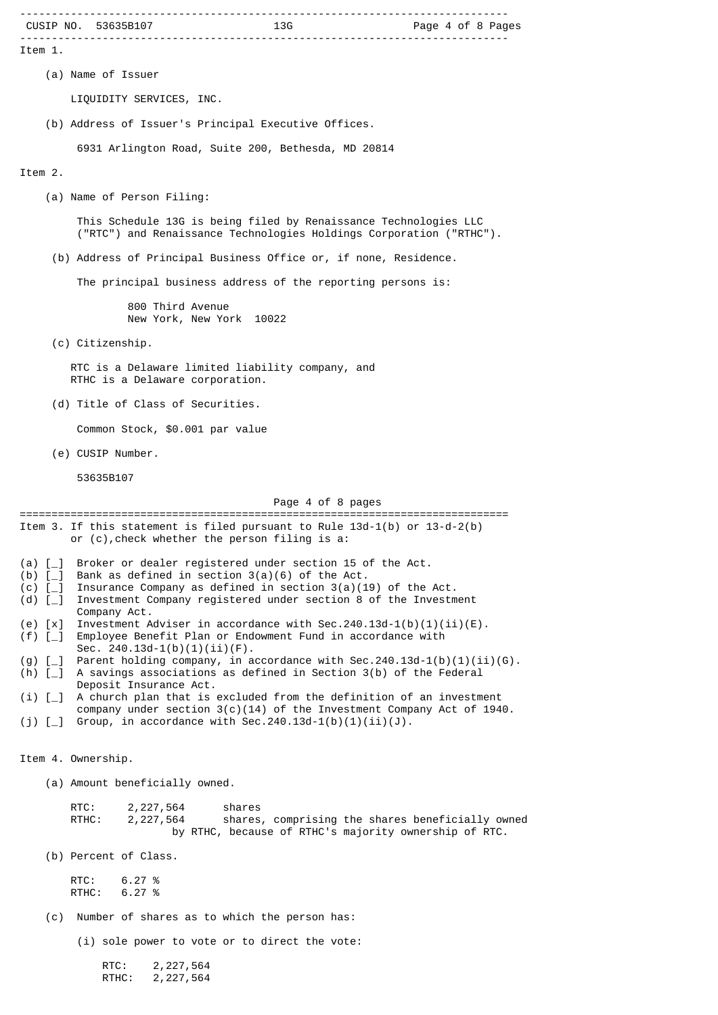|                          | CUSIP NO. 53635B107                                                                                                                                                      |
|--------------------------|--------------------------------------------------------------------------------------------------------------------------------------------------------------------------|
| Item 1.                  |                                                                                                                                                                          |
|                          | (a) Name of Issuer                                                                                                                                                       |
|                          | LIQUIDITY SERVICES, INC.                                                                                                                                                 |
|                          | (b) Address of Issuer's Principal Executive Offices.                                                                                                                     |
|                          | 6931 Arlington Road, Suite 200, Bethesda, MD 20814                                                                                                                       |
| Item 2.                  |                                                                                                                                                                          |
|                          | (a) Name of Person Filing:                                                                                                                                               |
|                          | This Schedule 13G is being filed by Renaissance Technologies LLC<br>("RTC") and Renaissance Technologies Holdings Corporation ("RTHC").                                  |
|                          | (b) Address of Principal Business Office or, if none, Residence.                                                                                                         |
|                          | The principal business address of the reporting persons is:                                                                                                              |
|                          | 800 Third Avenue<br>New York, New York 10022                                                                                                                             |
|                          | (c) Citizenship.                                                                                                                                                         |
|                          | RTC is a Delaware limited liability company, and<br>RTHC is a Delaware corporation.                                                                                      |
|                          | (d) Title of Class of Securities.                                                                                                                                        |
|                          | Common Stock, \$0.001 par value                                                                                                                                          |
|                          | (e) CUSIP Number.                                                                                                                                                        |
|                          | 53635B107                                                                                                                                                                |
|                          | Page 4 of 8 pages                                                                                                                                                        |
|                          | Item 3. If this statement is filed pursuant to Rule $13d-1(b)$ or $13-d-2(b)$<br>or (c), check whether the person filing is a:                                           |
| (a) $[-]$<br>$(b)$ $[-]$ | Broker or dealer registered under section 15 of the Act.<br>Bank as defined in section $3(a)(6)$ of the Act.                                                             |
| $(c)$ [<br>(d) $[-]$     | Insurance Company as defined in section $3(a)(19)$ of the Act.<br>Investment Company registered under section 8 of the Investment<br>Company Act.                        |
| $(e)$ $[x]$<br>$(f)$ [_] | Investment Adviser in accordance with Sec. 240.13d-1(b)(1)(ii)(E).<br>Employee Benefit Plan or Endowment Fund in accordance with<br>Sec. $240.13d-1(b)(1)(ii)(F)$ .      |
| $(g)$ [_]<br>(h) $[-]$   | Parent holding company, in accordance with Sec.240.13d-1(b)(1)(ii)(G).<br>A savings associations as defined in Section 3(b) of the Federal                               |
| (i) [                    | Deposit Insurance Act.<br>A church plan that is excluded from the definition of an investment<br>company under section $3(c)(14)$ of the Investment Company Act of 1940. |
| $(j)$ [_]                | Group, in accordance with Sec. 240.13d-1(b)(1)(ii)(J).                                                                                                                   |
|                          | Item 4. Ownership.                                                                                                                                                       |
|                          | (a) Amount beneficially owned.                                                                                                                                           |
|                          | RTC:<br>shares<br>2, 227, 564<br>shares, comprising the shares beneficially owned<br>RTHC:<br>2, 227, 564<br>by RTHC, because of RTHC's majority ownership of RTC.       |
|                          | (b) Percent of Class.                                                                                                                                                    |
|                          | RTC:<br>6.27%<br>RTHC:<br>6.27%                                                                                                                                          |
| (c)                      | Number of shares as to which the person has:                                                                                                                             |
|                          | (i) sole power to vote or to direct the vote:                                                                                                                            |
|                          | RTC:<br>2, 227, 564<br>RTHC:<br>2, 227, 564                                                                                                                              |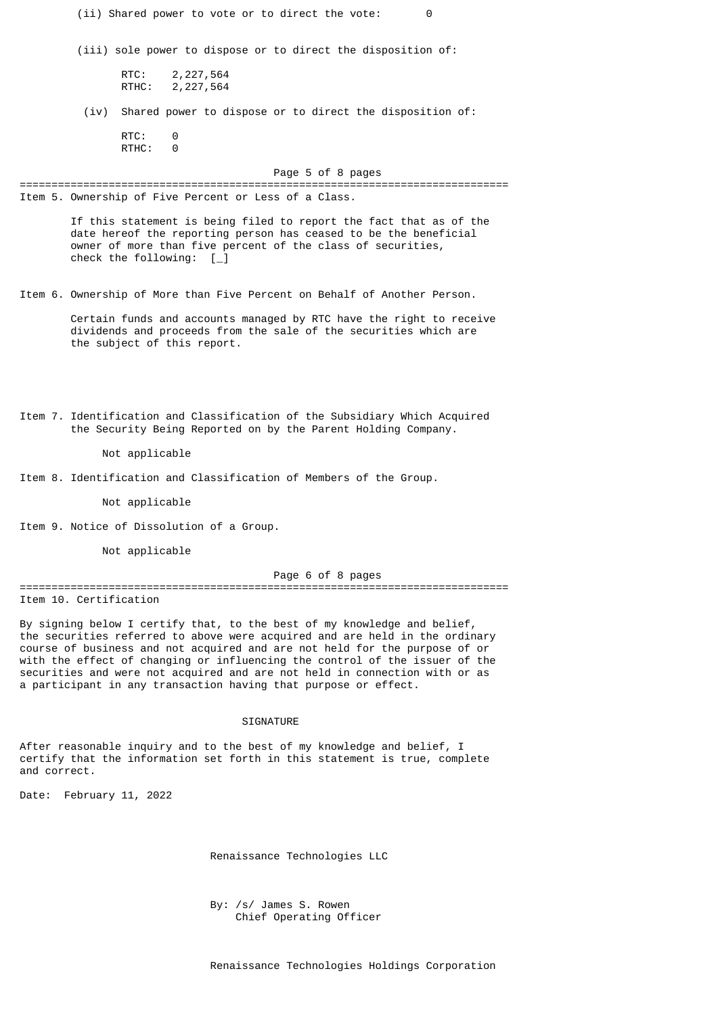| (ii) Shared power to vote or to direct the vote:<br>0                                                                                                                                                                                                                                                                                                                                                                                                                 |
|-----------------------------------------------------------------------------------------------------------------------------------------------------------------------------------------------------------------------------------------------------------------------------------------------------------------------------------------------------------------------------------------------------------------------------------------------------------------------|
| (iii) sole power to dispose or to direct the disposition of:                                                                                                                                                                                                                                                                                                                                                                                                          |
| RTC:<br>2, 227, 564<br>RTHC:<br>2,227,564                                                                                                                                                                                                                                                                                                                                                                                                                             |
| Shared power to dispose or to direct the disposition of:<br>(iv)                                                                                                                                                                                                                                                                                                                                                                                                      |
| RTC:<br>0<br>RTHC:<br>0                                                                                                                                                                                                                                                                                                                                                                                                                                               |
| Page 5 of 8 pages                                                                                                                                                                                                                                                                                                                                                                                                                                                     |
| Item 5. Ownership of Five Percent or Less of a Class.                                                                                                                                                                                                                                                                                                                                                                                                                 |
| If this statement is being filed to report the fact that as of the<br>date hereof the reporting person has ceased to be the beneficial<br>owner of more than five percent of the class of securities,<br>check the following: $[\ ]$                                                                                                                                                                                                                                  |
| Item 6. Ownership of More than Five Percent on Behalf of Another Person.                                                                                                                                                                                                                                                                                                                                                                                              |
| Certain funds and accounts managed by RTC have the right to receive<br>dividends and proceeds from the sale of the securities which are<br>the subject of this report.                                                                                                                                                                                                                                                                                                |
| Item 7. Identification and Classification of the Subsidiary Which Acquired<br>the Security Being Reported on by the Parent Holding Company.                                                                                                                                                                                                                                                                                                                           |
| Not applicable                                                                                                                                                                                                                                                                                                                                                                                                                                                        |
| Item 8. Identification and Classification of Members of the Group.                                                                                                                                                                                                                                                                                                                                                                                                    |
| Not applicable                                                                                                                                                                                                                                                                                                                                                                                                                                                        |
| Item 9. Notice of Dissolution of a Group.                                                                                                                                                                                                                                                                                                                                                                                                                             |
| Not applicable                                                                                                                                                                                                                                                                                                                                                                                                                                                        |
| Page 6 of 8 pages                                                                                                                                                                                                                                                                                                                                                                                                                                                     |
| Item 10. Certification                                                                                                                                                                                                                                                                                                                                                                                                                                                |
| By signing below I certify that, to the best of my knowledge and belief,<br>the securities referred to above were acquired and are held in the ordinary<br>course of business and not acquired and are not held for the purpose of or<br>with the effect of changing or influencing the control of the issuer of the<br>securities and were not acquired and are not held in connection with or as<br>a participant in any transaction having that purpose or effect. |
| <b>SIGNATURE</b>                                                                                                                                                                                                                                                                                                                                                                                                                                                      |
| After reasonable inquiry and to the best of my knowledge and belief, I                                                                                                                                                                                                                                                                                                                                                                                                |

certify that the information set forth in this statement is true, complete and correct.

Date: February 11, 2022

Renaissance Technologies LLC

 By: /s/ James S. Rowen Chief Operating Officer